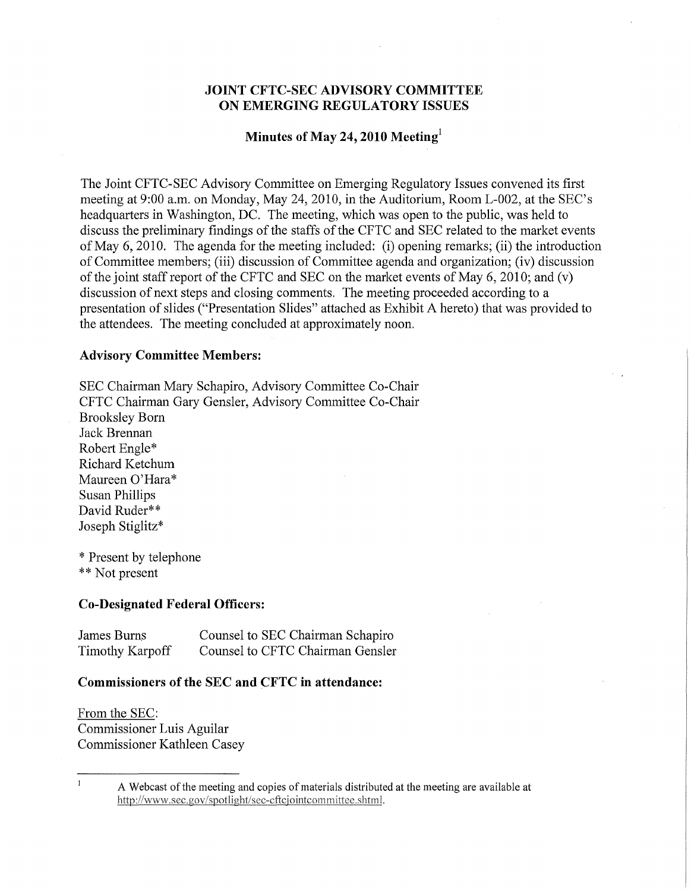# **JOINT CFTC-SEC ADVISORY COMMITTEE ON EMERGING REGULATORY ISSUES**

### **Minutes of May 24, 2010 Meeting<sup>l</sup>**

The Joint CFTC-SEC Advisory Committee on Emerging Regulatory Issues convened its first meeting at 9:00 a.m. on Monday, May 24, 2010, in the Auditorium, Room L-002, at the SEC's headquarters in Washington, DC. The meeting, which was open to the public, was held to discuss the preliminary findings of the staffs of the CFTC and SEC related to the market events of May 6, 2010. The agenda for the meeting included: (i) opening remarks; (ii) the introduction of Committee members; (iii) discussion of Committee agenda and organization; (iv) discussion of the joint staff report of the CFTC and SEC on the market events of May 6, 2010; and (v) discussion of next steps and closing comments. The meeting proceeded according to a presentation of slides ("Presentation Slides" attached as Exhibit A hereto) that was provided to the attendees. The meeting concluded at approximately noon.

#### **Advisory Committee Members:**

SEC Chairman Mary Schapiro, Advisory Committee Co-Chair CFTC Chairman Gary Gensler, Advisory Committee Co-Chair Brooksley Born Jack Brennan Robert Engle\* Richard Ketchum Maureen O'Hara\* Susan Phillips David Ruder\*\* Joseph Stiglitz\*

\* Present by telephone \*\* Not present

#### **Co-Designated Federal Officers:**

| James Burns            | Counsel to SEC Chairman Schapiro |
|------------------------|----------------------------------|
| <b>Timothy Karpoff</b> | Counsel to CFTC Chairman Gensler |

#### **Commissioners of the SEC and CFTC in attendance:**

From the SEC: Commissioner Luis Aguilar Commissioner Kathleen Casey

 $\mathbf{I}$ 

A Webcast of the meeting and copies of materials distributed at the meeting are available at http://www.sec.gov/spotlight/sec-cftciointcommittee.shtml.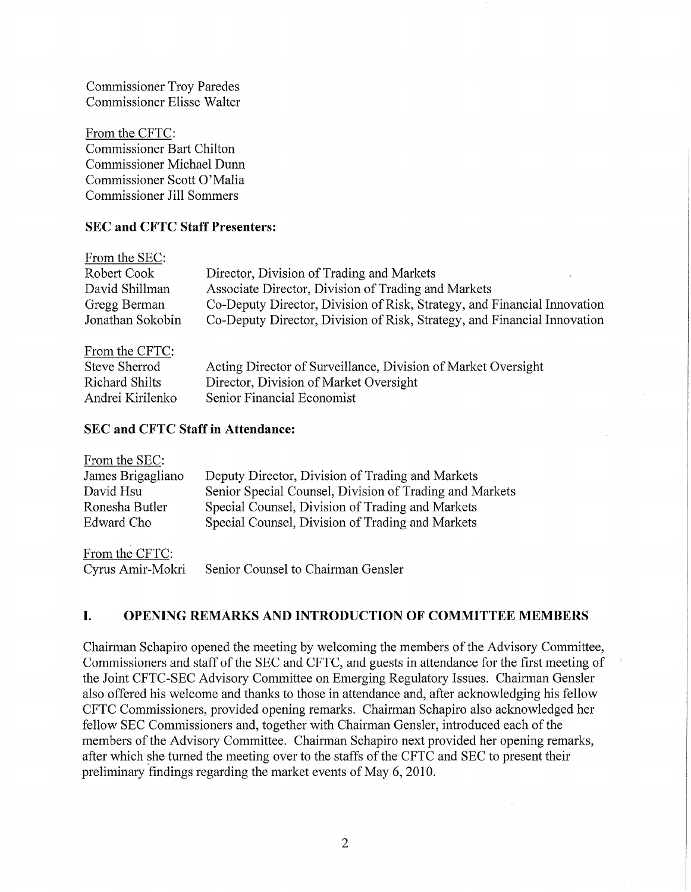Commissioner Troy Paredes Commissioner Elisse Walter

From the CFTC: Commissioner Bart Chilton Commissioner Michael Dunn Commissioner Scott 0'Malia Commissioner Jill Sommers

# SEC **and CFTC Staff Presenters:**

| From the SEC:    |                                                                          |
|------------------|--------------------------------------------------------------------------|
| Robert Cook      | Director, Division of Trading and Markets                                |
| David Shillman   | Associate Director, Division of Trading and Markets                      |
| Gregg Berman     | Co-Deputy Director, Division of Risk, Strategy, and Financial Innovation |
| Jonathan Sokobin | Co-Deputy Director, Division of Risk, Strategy, and Financial Innovation |
| $P = 1$ $QPTTQ$  |                                                                          |

| From the CFTC:   |                                                               |
|------------------|---------------------------------------------------------------|
| Steve Sherrod    | Acting Director of Surveillance, Division of Market Oversight |
| Richard Shilts   | Director, Division of Market Oversight                        |
| Andrei Kirilenko | Senior Financial Economist                                    |

# SEC **and CFTC Staff in Attendance:**

| From the SEC:     |                                                         |
|-------------------|---------------------------------------------------------|
| James Brigagliano | Deputy Director, Division of Trading and Markets        |
| David Hsu         | Senior Special Counsel, Division of Trading and Markets |
| Ronesha Butler    | Special Counsel, Division of Trading and Markets        |
| Edward Cho        | Special Counsel, Division of Trading and Markets        |
| From the CFTC:    |                                                         |
| Cyrus Amir-Mokri  | Senior Counsel to Chairman Gensler                      |

# **I. OPENING REMARKS AND INTRODUCTION OF COMMITTEE MEMBERS**

Chairman Schapiro opened the meeting by welcoming the members of the Advisory Committee, Commissioners and staff of the SEC and CFTC, and guests in attendance for the first meeting of the Joint CFTC-SEC Advisory Committee on Emerging Regulatory Issues. Chairman Gensler also offered his welcome and thanks to those in attendance and, after acknowledging his fellow CFTC Commissioners, provided opening remarks. Chairman Schapiro also acknowledged her fellow SEC Commissioners and, together with Chairman Gensler, introduced each of the members of the Advisory Committee. Chairman Schapiro next provided her opening remarks, after which she turned the meeting over to the staffs of the CFTC and SEC to present their preliminary findings regarding the market events of May 6, 2010.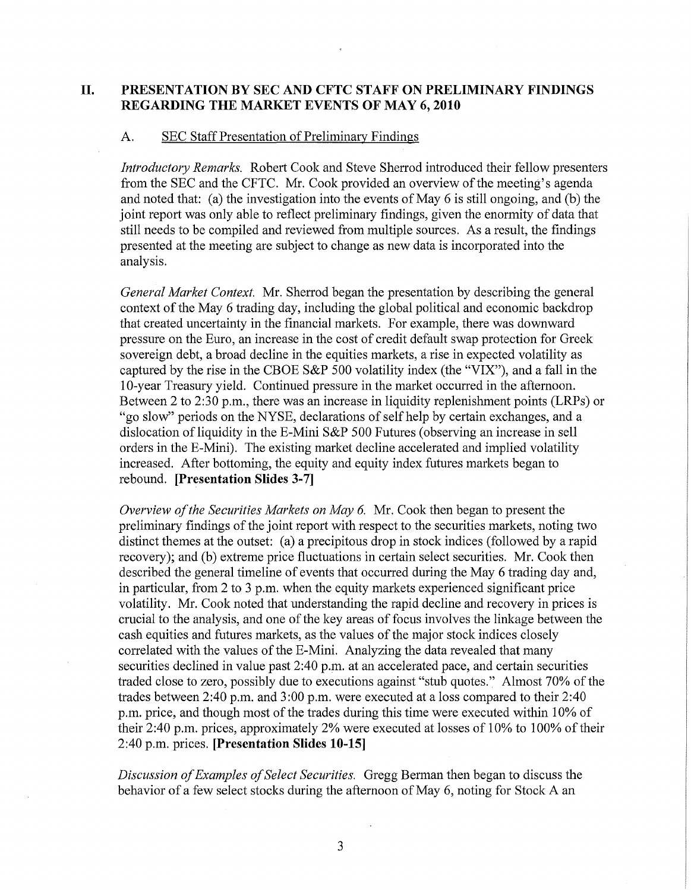# **II. PRESENTATION BY SEC AND CFTC STAFF ON PRELIMINARY FINDINGS REGARDING THE MARKET EVENTS OF MAY 6, 2010**

#### A. SEC Staff Presentation of Preliminary Findings

*Introductory Remarks.* Robert Cook and Steve Sherrod introduced their fellow presenters from the SEC and the CFTC. Mr. Cook provided an overview of the meeting's agenda and noted that: (a) the investigation into the events of May 6 is still ongoing, and (b) the joint report was only able to reflect preliminary findings, given the enormity of data that still needs to be compiled and reviewed from multiple sources. As a result, the findings presented at the meeting are subject to change as new data is incorporated into the analysis.

*General Market Context.* Mr. Sherrod began the presentation by describing the general context of the May 6 trading day, including the global political and economic backdrop that created uncertainty in the financial markets. For example, there was downward pressure on the Euro, an increase in the cost of credit default swap protection for Greek sovereign debt, a broad decline in the equities markets, a rise in expected volatility as captured by the rise in the CBOE S&P 500 volatility index (the "VIX"), and a fall in the 1O-year Treasury yield. Continued pressure in the market occurred in the afternoon. Between 2 to 2:30 p.m., there was an increase in liquidity replenishment points (LRPs) or "go slow" periods on the NYSE, declarations of self help by certain exchanges, and a dislocation of liquidity in the E-Mini S&P 500 Futures (observing an increase in sell orders in the E-Mini). The existing market decline accelerated and implied volatility increased. After bottoming, the equity and equity index futures markets began to rebound. **[Presentation Slides 3-7]** 

*Overview ofthe Securities Markets on May* 6. Mr. Cook then began to present the preliminary findings of the joint report with respect to the securities markets, noting two distinct themes at the outset: (a) a precipitous drop in stock indices (followed by a rapid recovery); and (b) extreme price fluctuations in certain select securities. Mr. Cook then described the general timeline of events that occurred during the May 6 trading day and, in particular, from 2 to 3 p.m. when the equity markets experienced significant price volatility. Mr. Cook noted that understanding the rapid decline and recovery in prices is crucial to the analysis, and one of the key areas of focus involves the linkage between the cash equities and futures markets, as the values of the major stock indices closely correlated with the values of the E-Mini. Analyzing the data revealed that many securities declined in value past 2:40 p.m. at an accelerated pace, and certain securities traded close to zero, possibly due to executions against "stub quotes." Almost 70% of the trades between 2:40 p.m. and 3:00 p.m. were executed at a loss compared to their 2:40 p.m. price, and though most of the trades during this time were executed within 10% of their 2:40 p.m. prices, approximately 2% were executed at losses of  $10\%$  to  $100\%$  of their 2:40 p.m. prices. **[Presentation Slides 10-15]** 

*Discussion ofExamples ofSelect Securities.* Gregg Berman then began to discuss the behavior of a few select stocks during the afternoon of May 6, noting for Stock A an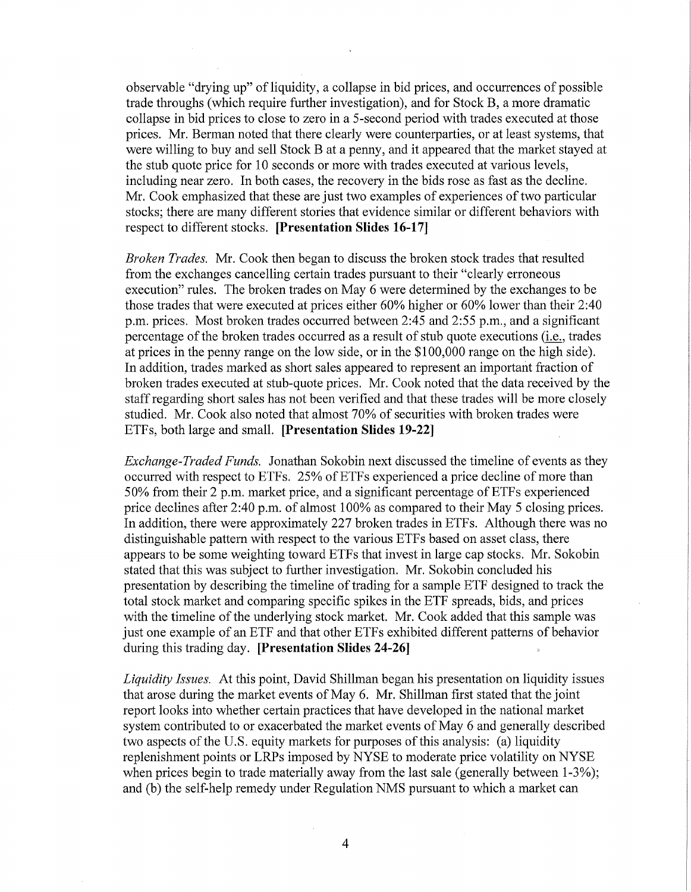observable "drying up" of liquidity, a collapse in bid prices, and occurrences of possible trade throughs (which require further investigation), and for Stock B, a more dramatic collapse in bid prices to close to zero in a 5-second period with trades executed at those prices. Mr. Berman noted that there clearly were counterparties, or at least systems, that were willing to buy and sell Stock B at a penny, and it appeared that the market stayed at the stub quote price for 10 seconds or more with trades executed at various levels, including near zero. **In** both cases, the recovery in the bids rose as fast as the decline. Mr. Cook emphasized that these are just two examples of experiences of two particular stocks; there are many different stories that evidence similar or different behaviors with respect to different stocks. **[Presentation Slides 16-17]** 

*Broken Trades.* Mr. Cook then began to discuss the broken stock trades that resulted from the exchanges cancelling certain trades pursuant to their "clearly erroneous execution" rules. The broken trades on May 6 were determined by the exchanges to be those trades that were executed at prices either 60% higher or 60% lower than their 2:40 p.m. prices. Most broken trades occurred between 2:45 and 2:55 p.m., and a significant percentage of the broken trades occurred as a result of stub quote executions (i.e., trades at prices in the penny range on the low side, or in the \$100,000 range on the high side). **In** addition, trades marked as short sales appeared to represent an important fraction of broken trades executed at stub-quote prices. Mr. Cook noted that the data received by the staff regarding short sales has not been verified and that these trades will be more closely studied. Mr. Cook also noted that almost 70% of securities with broken trades were ETFs, both large and small. **[Presentation Slides 19-22]** 

*Exchange-Traded Funds.* Jonathan Sokobin next discussed the timeline of events as they occurred with respect to ETFs. 25% of ETFs experienced a price decline of more than  $50\%$  from their 2 p.m. market price, and a significant percentage of ETFs experienced price declines after 2:40 p.m. of almost 100% as compared to their May 5 closing prices. **In** addition, there were approximately 227 broken trades in ETFs. Although there was no distinguishable pattern with respect to the various ETFs based on asset class, there appears to be some weighting toward ETFs that invest in large cap stocks. Mr. Sokobin stated that this was subject to further investigation. Mr. Sokobin concluded his presentation by describing the timeline of trading for a sample ETF designed to track the total stock market and comparing specific spikes in the ETF spreads, bids, and prices with the timeline of the underlying stock market. Mr. Cook added that this sample was just one example of an ETF and that other ETFs exhibited different patterns of behavior during this trading day. **[Presentation Slides 24-26]** 

*Liquidity Issues.* At this point, David Shillman began his presentation on liquidity issues that arose during the market events of May 6. Mr. Shillman first stated that the joint report looks into whether certain practices that have developed in the national market system contributed to or exacerbated the market events of May 6 and generally described two aspects of the U.S. equity markets for purposes of this analysis: (a) liquidity replenishment points or LRPs imposed by NYSE to moderate price volatility on NYSE when prices begin to trade materially away from the last sale (generally between 1-3%); and (b) the self-help remedy under Regulation NMS pursuant to which a market can

4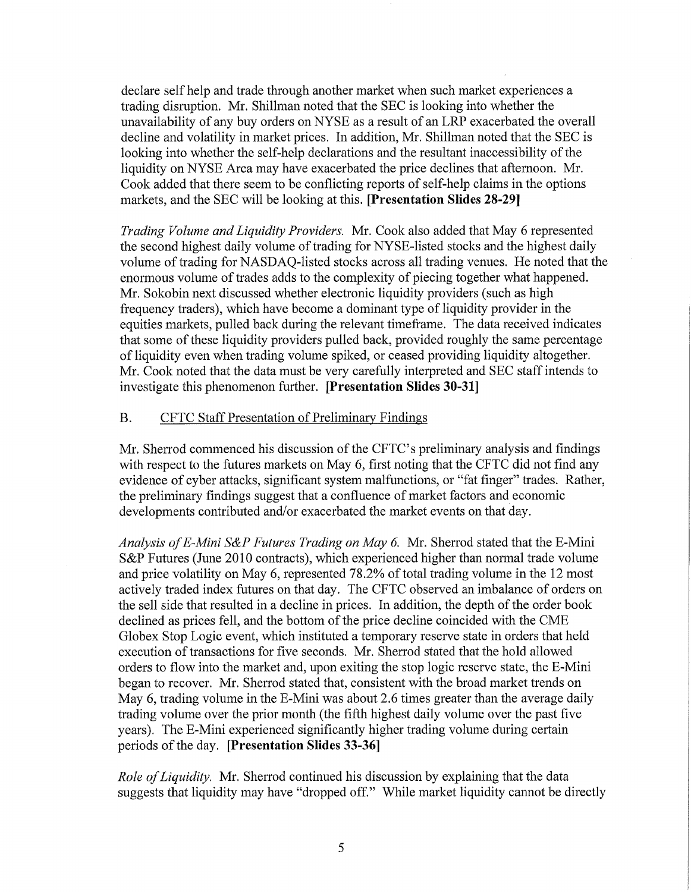declare self help and trade through another market when such market experiences a trading disruption. Mr. Shillman noted that the SEC is looking into whether the unavailability of any buy orders on NYSE as a result of an LRP exacerbated the overall decline and volatility in market prices. In addition, Mr. Shillman noted that the SEC is looking into whether the self-help declarations and the resultant inaccessibility of the liquidity on NYSE Arca may have exacerbated the price declines that afternoon. Mr. Cook added that there seem to be conflicting reports of self-help claims in the options markets, and the SEC will be looking at this. **[Presentation Slides 28-29]** 

*Trading Volume and Liquidity Providers.* Mr. Cook also added that May 6 represented the second highest daily volume of trading for NYSE-listed stocks and the highest daily volume of trading for NASDAQ-listed stocks across all trading venues. He noted that the enormous volume of trades adds to the complexity of piecing together what happened. Mr. Sokobin next discussed whether electronic liquidity providers (such as high frequency traders), which have become a dominant type of liquidity provider in the equities markets, pulled back during the relevant timeframe. The data received indicates that some of these liquidity providers pulled back, provided roughly the same percentage of liquidity even when trading volume spiked, or ceased providing liquidity altogether. Mr. Cook noted that the data must be very carefully interpreted and SEC staff intends to investigate this phenomenon further. **[Presentation Slides 30-31]** 

# B. CFTC Staff Presentation of Preliminary Findings

Mr. Sherrod commenced his discussion of the CFTC's preliminary analysis and findings with respect to the futures markets on May 6, first noting that the CFTC did not find any evidence of cyber attacks, significant system malfunctions, or "fat finger" trades. Rather, the preliminary findings suggest that a confluence of market factors and economic developments contributed and/or exacerbated the market events on that day.

*Analysis ofE-Mini S&P Futures Trading on May* 6. Mr. Sherrod stated that the E-Mini S&P Futures (June 2010 contracts), which experienced higher than normal trade volume and price volatility on May 6, represented 78.2% of total trading volume in the 12 most actively traded index futures on that day. The CFTC observed an imbalance of orders on the sell side that resulted in a decline in prices. In addition, the depth of the order book declined as prices fell, and the bottom of the price decline coincided with the CME Globex Stop Logic event, which instituted a temporary reserve state in orders that held execution of transactions for five seconds. Mr. Sherrod stated that the hold allowed orders to flow into the market and, upon exiting the stop logic reserve state, the E-Mini began to recover. Mr. Sherrod stated that, consistent with the broad market trends on May 6, trading volume in the E-Mini was about 2.6 times greater than the average daily trading volume over the prior month (the fifth highest daily volume over the past five years). The E-Mini experienced significantly higher trading volume during certain periods of the day. **[Presentation Slides 33-36]** 

*Role ofLiquidity.* Mr. Sherrod continued his discussion by explaining that the data suggests that liquidity may have "dropped off." While market liquidity cannot be directly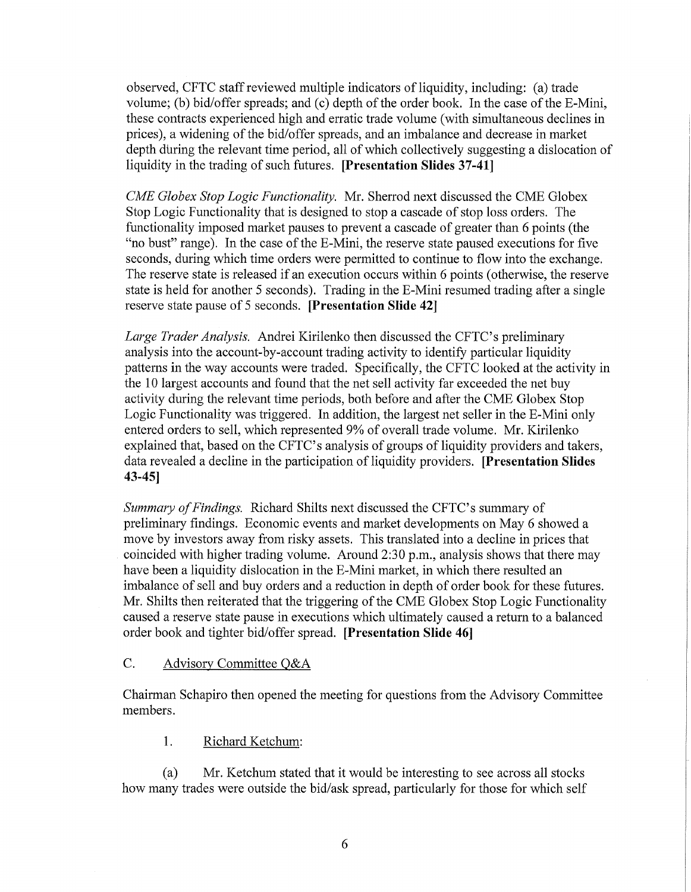observed, CFTC staff reviewed multiple indicators of liquidity, including: (a) trade volume; (b) bid/offer spreads; and (c) depth of the order book. In the case of the E-Mini, these contracts experienced high and erratic trade volume (with simultaneous declines in prices), a widening of the bid/offer spreads, and an imbalance and decrease in market depth during the relevant time period, all of which collectively suggesting a dislocation of liquidity in the trading of such futures. **[Presentation Slides 37-41]** 

*CME Globex Stop Logic Functionality.* Mr. Sherrod next discussed the CME Globex Stop Logic Functionality that is designed to stop a cascade of stop loss orders. The functionality imposed market pauses to prevent a cascade of greater than 6 points (the "no bust" range). In the case of the E-Mini, the reserve state paused executions for five seconds, during which time orders were permitted to continue to flow into the exchange. The reserve state is released if an execution occurs within 6 points (otherwise, the reserve state is held for another 5 seconds). Trading in the E-Mini resumed trading after a single reserve state pause of 5 seconds. **[Presentation Slide 42]** 

*Large Trader Analysis.* Andrei Kirilenko then discussed the CFTC's preliminary analysis into the account-by-account trading activity to identify particular liquidity patterns in the way accounts were traded. Specifically, the CFTC looked at the activity in the 10 largest accounts and found that the net sell activity far exceeded the net buy activity during the relevant time periods, both before and after the CME Globex Stop Logic Functionality was triggered. In addition, the largest net seller in the E-Mini only entered orders to sell, which represented 9% of overall trade volume. Mr. Kirilenko explained that, based on the CFTC's analysis of groups of liquidity providers and takers, data revealed a decline in the participation of liquidity providers. **[Presentation Slides 43-45]** 

*Summary of Findings.* Richard Shilts next discussed the CFTC's summary of preliminary findings. Economic events and market developments on May 6 showed a move by investors away from risky assets. This translated into a decline in prices that coincided with higher trading volume. Around 2:30 p.m., analysis shows that there may have been a liquidity dislocation in the E-Mini market, in which there resulted an imbalance of sell and buy orders and a reduction in depth of order book for these futures. Mr. Shilts then reiterated that the triggering of the CME Globex Stop Logic Functionality caused a reserve state pause in executions which ultimately caused a return to a balanced order book and tighter bid/offer spread. **[Presentation Slide 46]** 

# C. Advisory Committee Q&A

Chairman Schapiro then opened the meeting for questions from the Advisory Committee members.

1. Richard Ketchum:

(a) Mr. Ketchum stated that it would be interesting to see across all stocks how many trades were outside the bid/ask spread, particularly for those for which self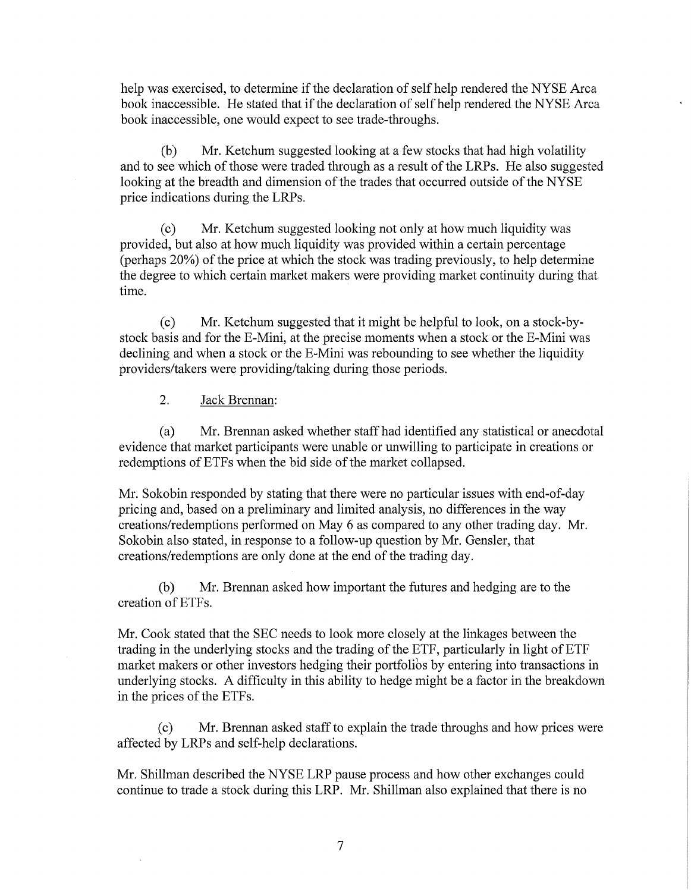help was exercised, to determine if the declaration of self help rendered the NYSE Arca book inaccessible. He stated that if the declaration of self help rendered the NYSE Arca book inaccessible, one would expect to see trade-throughs.

(b) Mr. Ketchum suggested looking at a few stocks that had high volatility and to see which of those were traded through as a result of the LRPs. He also suggested looking at the breadth and dimension of the trades that occurred outside of the NYSE price indications during the LRPs.

(c) Mr. Ketchum suggested looking not only at how much liquidity was provided, but also at how much liquidity was provided within a certain percentage (perhaps  $20\%$ ) of the price at which the stock was trading previously, to help determine the degree to which certain market makers were providing market continuity during that time.

(c) Mr. Ketchum suggested that it might be helpful to look, on a stock-bystock basis and for the E-Mini, at the precise moments when a stock or the E-Mini was declining and when a stock or the E-Mini was rebounding to see whether the liquidity providers/takers were providing/taking during those periods.

2. Jack Brennan:

(a) Mr. Brennan asked whether staff had identified any statistical or anecdotal evidence that market participants were unable or unwilling to participate in creations or redemptions of ETFs when the bid side of the market collapsed.

Mr. Sokobin responded by stating that there were no particular issues with end-of-day pricing and, based on a preliminary and limited analysis, no differences in the way creations/redemptions performed on May 6 as compared to any other trading day. Mr. Sokobin also stated, in response to a follow-up question by Mr. Gensler, that creations/redemptions are only done at the end of the trading day.

(b) Mr. Brennan asked how important the futures and hedging are to the creation of ETFs.

Mr. Cook stated that the SEC needs to look more closely at the linkages between the trading in the underlying stocks and the trading of the ETF, particularly in light of ETF market makers or other investors hedging their portfolios by entering into transactions in underlying stocks. A difficulty in this ability to hedge might be a factor in the breakdown in the prices of the ETFs.

(c) Mr. Brennan asked staff to explain the trade throughs and how prices were affected by LRPs and self-help declarations.

Mr. Shillman described the NYSE LRP pause process and how other exchanges could continue to trade a stock during this LRP. Mr. Shillman also explained that there is no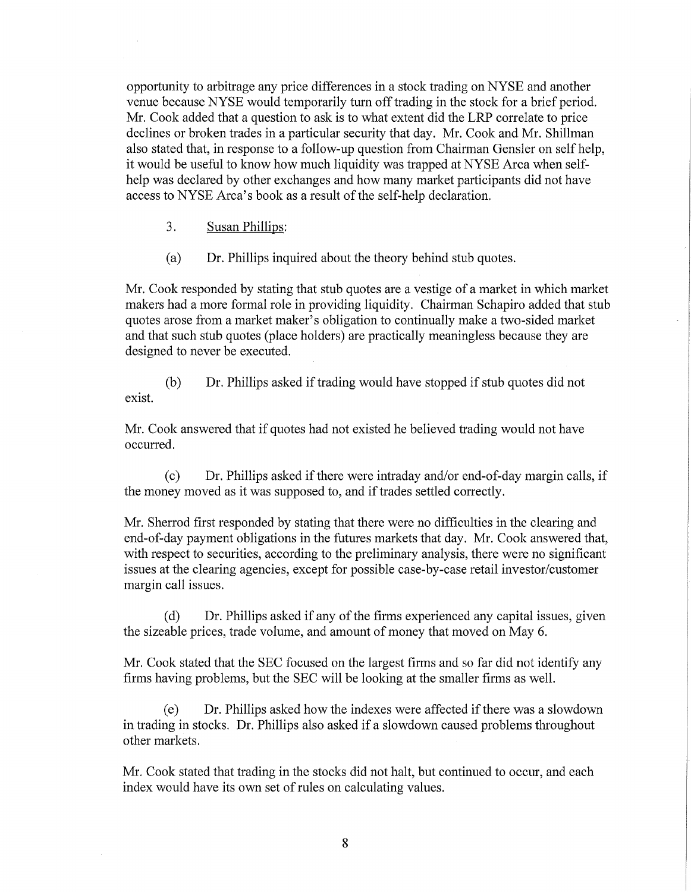opportunity to arbitrage any price differences in a stock trading on NYSE and another venue because NYSE would temporarily turn off trading in the stock for a brief period. Mr. Cook added that a question to ask is to what extent did the LRP correlate to price declines or broken trades in a particular security that day. Mr. Cook and Mr. Shillman also stated that, in response to a follow-up question from Chairman Gensler on self help, it would be useful to know how much liquidity was trapped at NYSE Arca when selfhelp was declared by other exchanges and how many market participants did not have access to NYSE Arca's book as a result of the self-help declaration.

3. Susan Phillips:

(a) Dr. Phillips inquired about the theory behind stub quotes.

Mr. Cook responded by stating that stub quotes are a vestige of a market in which market makers had a more formal role in providing liquidity. Chairman Schapiro added that stub quotes arose from a market maker's obligation to continually make a two-sided market and that such stub quotes (place holders) are practically meaningless because they are designed to never be executed.

(b) Dr. Phillips asked if trading would have stopped if stub quotes did not exist.

Mr. Cook answered that if quotes had not existed he believed trading would not have occurred.

 $(c)$  Dr. Phillips asked if there were intraday and/or end-of-day margin calls, if the money moved as it was supposed to, and if trades settled correctly.

Mr. Sherrod first responded by stating that there were no difficulties in the clearing and end-of-day payment obligations in the futures markets that day. Mr. Cook answered that, with respect to securities, according to the preliminary analysis, there were no significant issues at the clearing agencies, except for possible case-by-case retail investor/customer margin call issues.

 $(d)$  Dr. Phillips asked if any of the firms experienced any capital issues, given the sizeable prices, trade volume, and amount of money that moved on May 6.

Mr. Cook stated that the SEC focused on the largest firms and so far did not identify any firms having problems, but the SEC will be looking at the smaller firms as well.

Dr. Phillips asked how the indexes were affected if there was a slowdown in trading in stocks. Dr. Phillips also asked if a slowdown caused problems throughout other markets.

Mr. Cook stated that trading in the stocks did not halt, but continued to occur, and each index would have its own set of rules on calculating values.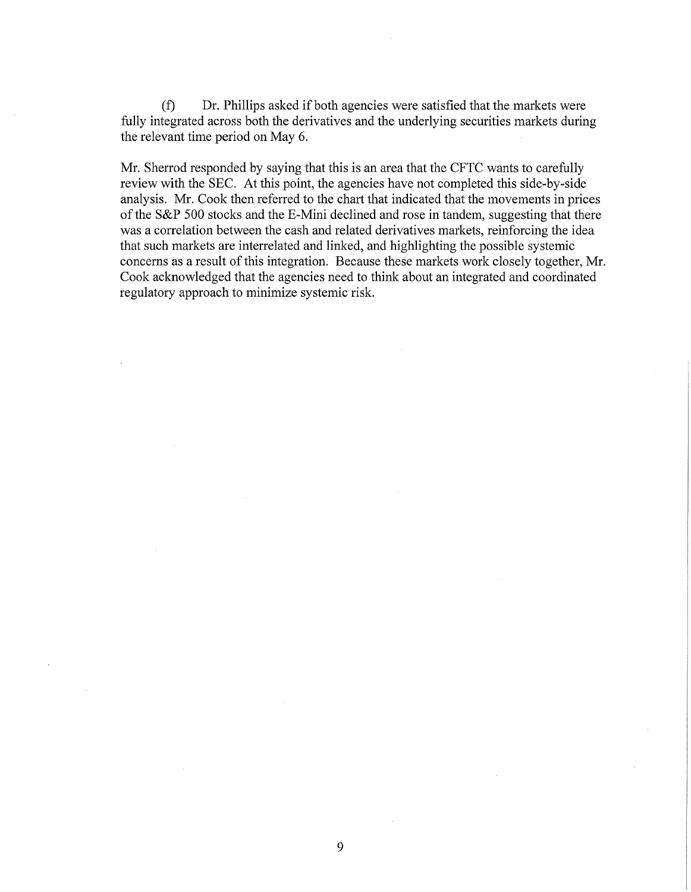(f) Dr. Phillips asked if both agencies were satisfied that the markets were fully integrated across both the derivatives and the underlying securities markets during the relevant time period on May 6.

Mr. Sherrod responded by saying that this is an area that the CFTC wants to carefully review with the SEC. At this point, the agencies have not completed this side-by-side analysis. Mr. Cook then referred to the chart that indicated that the movements in prices of the S&P 500 stocks and the E-Mini declined and rose in tandem, suggesting that there was a correlation between the cash and related derivatives markets, reinforcing the idea that such markets are interrelated and linked, and highlighting the possible systemic concerns as a result of this integration. Because these markets work closely together, Mr. Cook acknowledged that the agencies need to think about an integrated and coordinated regulatory approach to minimize systemic risk.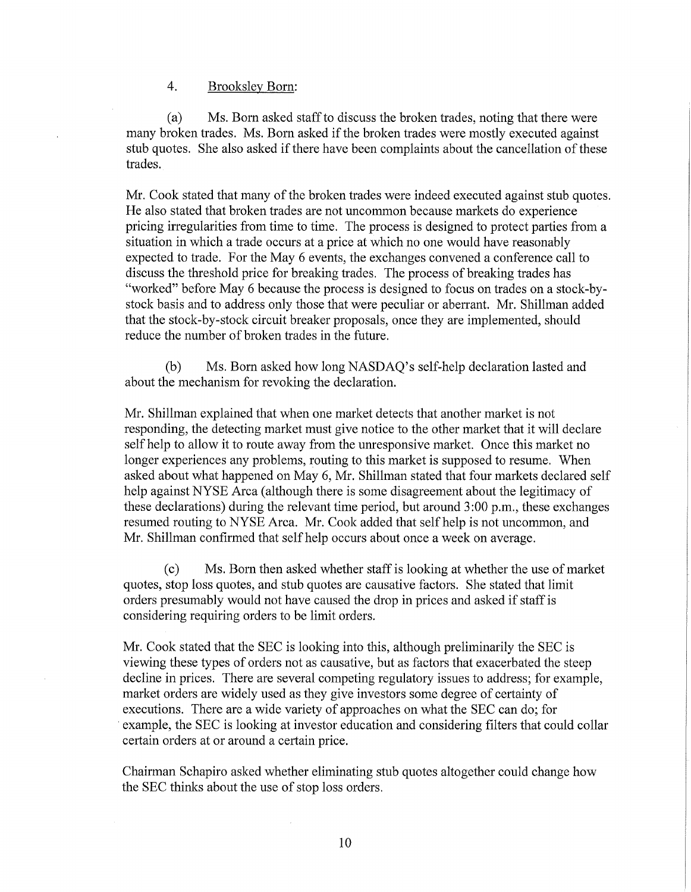### 4. Brooksley Born:

(a) Ms. Born asked staff to discuss the broken trades, noting that there were many broken trades. Ms. Born asked if the broken trades were mostly executed against stub quotes. She also asked if there have been complaints about the cancellation of these trades.

Mr. Cook stated that many of the broken trades were indeed executed against stub quotes. He also stated that broken trades are not uncommon because markets do experience pricing irregularities from time to time. The process is designed to protect parties from a situation in which a trade occurs at a price at which no one would have reasonably expected to trade. For the May 6 events, the exchanges convened a conference call to discuss the threshold price for breaking trades. The process of breaking trades has "worked" before May 6 because the process is designed to focus on trades on a stock-bystock basis and to address only those that were peculiar or aberrant. Mr. Shillman added that the stock-by-stock circuit breaker proposals, once they are implemented, should reduce the number of broken trades in the future.

(b) Ms. Born asked how long NASDAQ's self-help declaration lasted and about the mechanism for revoking the declaration.

Mr. Shillman explained that when one market detects that another market is not responding, the detecting market must give notice to the other market that it will declare self help to allow it to route away from the umesponsive market. Once this market no longer experiences any problems, routing to this market is supposed to resume. When asked about what happened on May 6, Mr. Shillman stated that four markets declared self help against NYSE Arca (although there is some disagreement about the legitimacy of these declarations) during the relevant time period, but around 3:00 p.m., these exchanges resumed routing to NYSE Arca. Mr. Cook added that self help is not uncommon, and Mr. Shillman confirmed that selfhelp occurs about once a week on average.

(c) Ms. Born then asked whether staff is looking at whether the use of market quotes, stop loss quotes, and stub quotes are causative factors. She stated that limit orders presumably would not have caused the drop in prices and asked if staff is considering requiring orders to be limit orders.

Mr. Cook stated that the SEC is looking into this, although preliminarily the SEC is viewing these types of orders not as causative, but as factors that exacerbated the steep decline in prices. There are several competing regulatory issues to address; for example, market orders are widely used as they give investors some degree of certainty of executions. There are a wide variety of approaches on what the SEC can do; for . example, the SEC is looking at investor education and considering filters that could collar certain orders at or around a certain price.

Chairman Schapiro asked whether eliminating stub quotes altogether could change how the SEC thinks about the use of stop loss orders.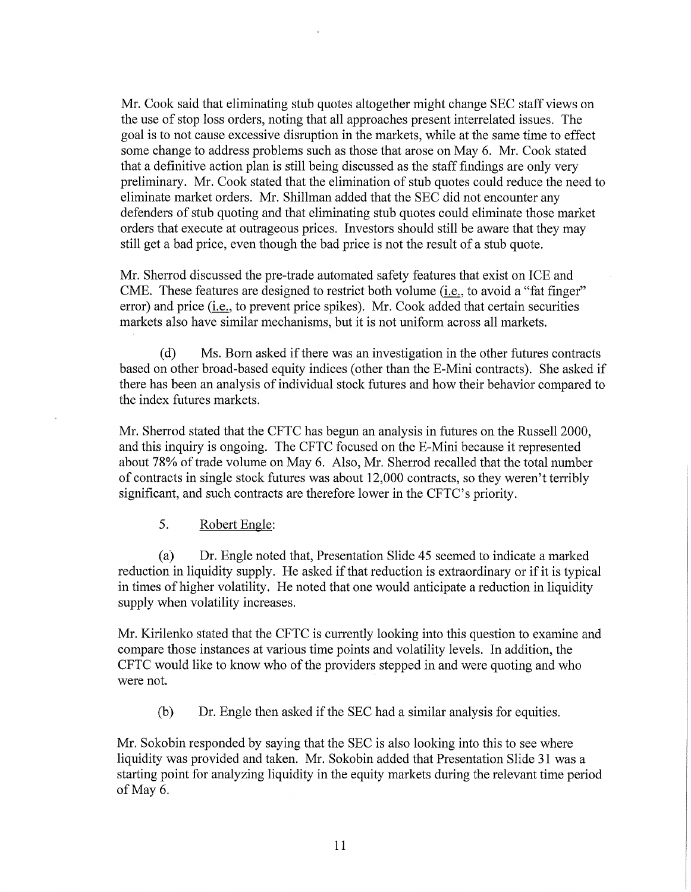Mr. Cook said that eliminating stub quotes altogether might change SEC staff views on the use of stop loss orders, noting that all approaches present interrelated issues. The goal is to not cause excessive disruption in the markets, while at the same time to effect some change to address problems such as those that arose on May 6. Mr. Cook stated that a definitive action plan is still being discussed as the staff findings are only very preliminary. Mr. Cook stated that the elimination of stub quotes could reduce the need to eliminate market orders. Mr. Shillman added that the SEC did not encounter any defenders of stub quoting and that eliminating stub quotes could eliminate those market orders that execute at outrageous prices. Investors should still be aware that they may still get a bad price, even though the bad price is not the result of a stub quote.

Mr. Sherrod discussed the pre-trade automated safety features that exist on ICE and CME. These features are designed to restrict both volume (*i.e.*, to avoid a "fat finger" error) and price (i.e., to prevent price spikes). Mr. Cook added that certain securities markets also have similar mechanisms, but it is not uniform across all markets.

(d) Ms. Born asked if there was an investigation in the other futures contracts based on other broad-based equity indices (other than the E-Mini contracts). She asked if there has been an analysis of individual stock futures and how their behavior compared to the index futures markets.

Mr. Sherrod stated that the CFTC has begun an analysis in futures on the Russell 2000, and this inquiry is ongoing. The CFTC focused on the E-Mini because it represented about 78% of trade volume on May 6. Also, Mr. Sherrod recalled that the total number of contracts in single stock futures was about 12,000 contracts, so they weren't terribly significant, and such contracts are therefore lower in the CFTC's priority.

# 5. Robert Engle:

(a) Dr. Engle noted that, Presentation Slide 45 seemed to indicate a marked reduction in liquidity supply. He asked if that reduction is extraordinary or if it is typical in times of higher volatility. He noted that one would anticipate a reduction in liquidity supply when volatility increases.

Mr. Kirilenko stated that the CFTC is currently looking into this question to examine and compare those instances at various time points and volatility levels. In addition, the CFTC would like to know who of the providers stepped in and were quoting and who were not.

(b) Dr. Engle then asked if the SEC had a similar analysis for equities.

Mr. Sokobin responded by saying that the SEC is also looking into this to see where liquidity was provided and taken. Mr. Sokobin added that Presentation Slide 31 was a starting point for analyzing liquidity in the equity markets during the relevant time period of May 6.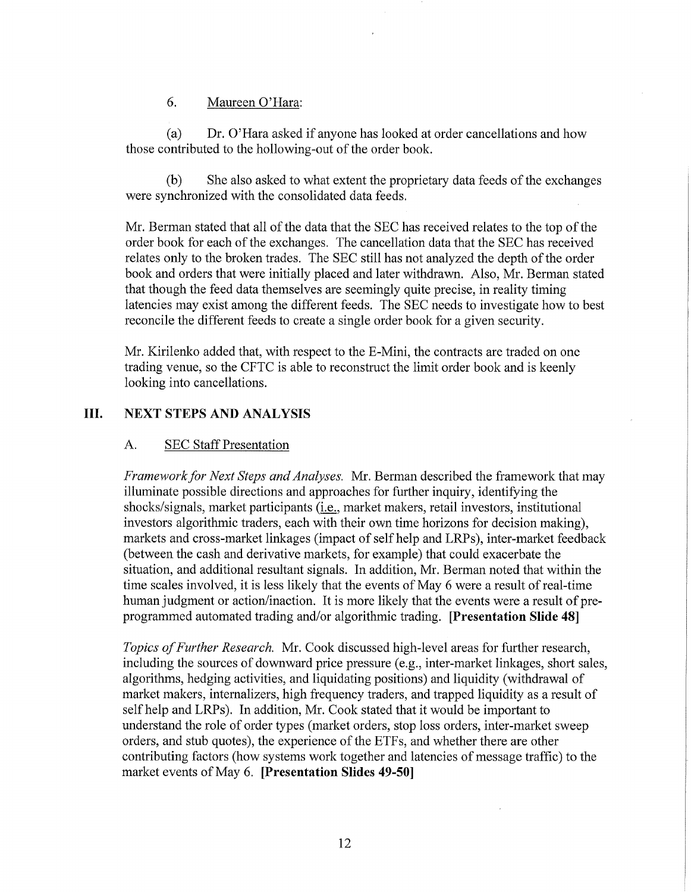# 6. Maureen O'Hara:

(a) Dr. O'Hara asked if anyone has looked at order cancellations and how those contributed to the hollowing-out of the order book.

(b) She also asked to what extent the proprietary data feeds of the exchanges were synchronized with the consolidated data feeds.

Mr. Berman stated that all of the data that the SEC has received relates to the top of the order book for each of the exchanges. The cancellation data that the SEC has received relates only to the broken trades. The SEC still has not analyzed the depth of the order book and orders that were initially placed and later withdrawn. Also, Mr. Berman stated that though the feed data themselves are seemingly quite precise, in reality timing latencies may exist among the different feeds. The SEC needs to investigate how to best reconcile the different feeds to create a single order book for a given security.

Mr. Kirilenko added that, with respect to the E-Mini, the contracts are traded on one trading venue, so the CFTC is able to reconstruct the limit order book and is keenly looking into cancellations.

# **III. NEXT STEPS AND ANALYSIS**

# A. SEC Staff Presentation

*Framework for Next Steps and Analyses.* Mr. Berman described the framework that may illuminate possible directions and approaches for further inquiry, identifying the shocks/signals, market participants (*i.e.*, market makers, retail investors, institutional investors algorithmic traders, each with their own time horizons for decision making), markets and cross-market linkages (impact of self help and LRPs), inter-market feedback (between the cash and derivative markets, for example) that could exacerbate the situation, and additional resultant signals. In addition, Mr. Berman noted that within the time scales involved, it is less likely that the events of May 6 were a result of real-time human judgment or action/inaction. It is more likely that the events were a result of preprogrammed automated trading and/or algorithmic trading. **[Presentation Slide 48]** 

*Topics ofFurther Research.* Mr. Cook discussed high-level areas for further research, including the sources of downward price pressure (e.g., inter-market linkages, short sales, algorithms, hedging activities, and liquidating positions) and liquidity (withdrawal of market makers, internalizers, high frequency traders, and trapped liquidity as a result of self help and LRPs). In addition, Mr. Cook stated that it would be important to understand the role of order types (market orders, stop loss orders, inter-market sweep orders, and stub quotes), the experience of the ETFs, and whether there are other contributing factors (how systems work together and latencies of message traffic) to the market events of May 6. **[Presentation Slides 49-50]**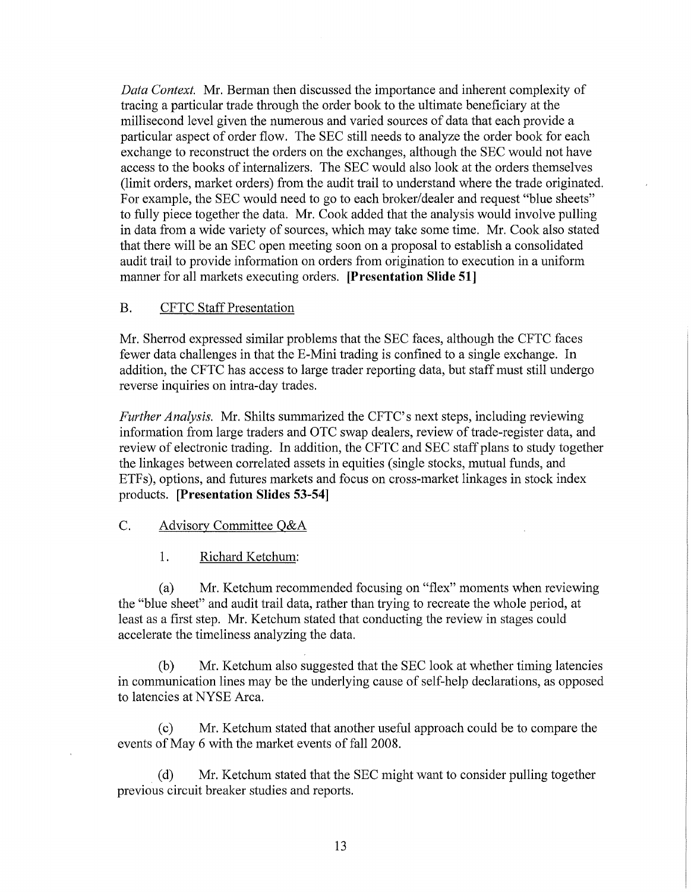*Data Context.* Mr. Berman then discussed the importance and inherent complexity of tracing a particular trade through the order book to the ultimate beneficiary at the millisecond level given the numerous and varied sources of data that each provide a particular aspect of order flow. The SEC still needs to analyze the order book for each exchange to reconstruct the orders on the exchanges, although the SEC would not have access to the books of internalizers. The SEC would also look at the orders themselves (limit orders, market orders) from the audit trail to understand where the trade originated. For example, the SEC would need to go to each broker/dealer and request "blue sheets" to fully piece together the data. Mr. Cook added that the analysis would involve pulling in data from a wide variety of sources, which may take some time. Mr. Cook also stated that there will be an SEC open meeting soon on a proposal to establish a consolidated audit trail to provide information on orders from origination to execution in a uniform manner for all markets executing orders. **[Presentation Slide 51]** 

# B. CFTC Staff Presentation

Mr. Sherrod expressed similar problems that the SEC faces, although the CFTC faces fewer data challenges in that the E-Mini trading is confined to a single exchange. In addition, the CFTC has access to large trader reporting data, but staff must still undergo reverse inquiries on intra-day trades.

*Further Analysis.* Mr. Shilts summarized the CFTC's next steps, including reviewing information from large traders and OTC swap dealers, review of trade-register data, and review of electronic trading. In addition, the CFTC and SEC staff plans to study together the linkages between correlated assets in equities (single stocks, mutual funds, and ETFs), options, and futures markets and focus on cross-market linkages in stock index products. **[Presentation Slides 53-54]** 

#### C. Advisory Committee Q&A

1. Richard Ketchum:

(a) Mr. Ketchum recommended focusing on "flex" moments when reviewing the "blue sheet" and audit trail data, rather than trying to recreate the whole period, at least as a first step. Mr. Ketchum stated that conducting the review in stages could accelerate the timeliness analyzing the data.

(b) Mr. Ketchum also suggested that the SEC look at whether timing latencies in communication lines may be the underlying cause of self-help declarations, as opposed to latencies at NYSE Arca.

(c) Mr. Ketchum stated that another useful approach could be to compare the events of May 6 with the market events of fall 2008.

(d) Mr. Ketchum stated that the SEC might want to consider pulling together previous circuit breaker studies and reports.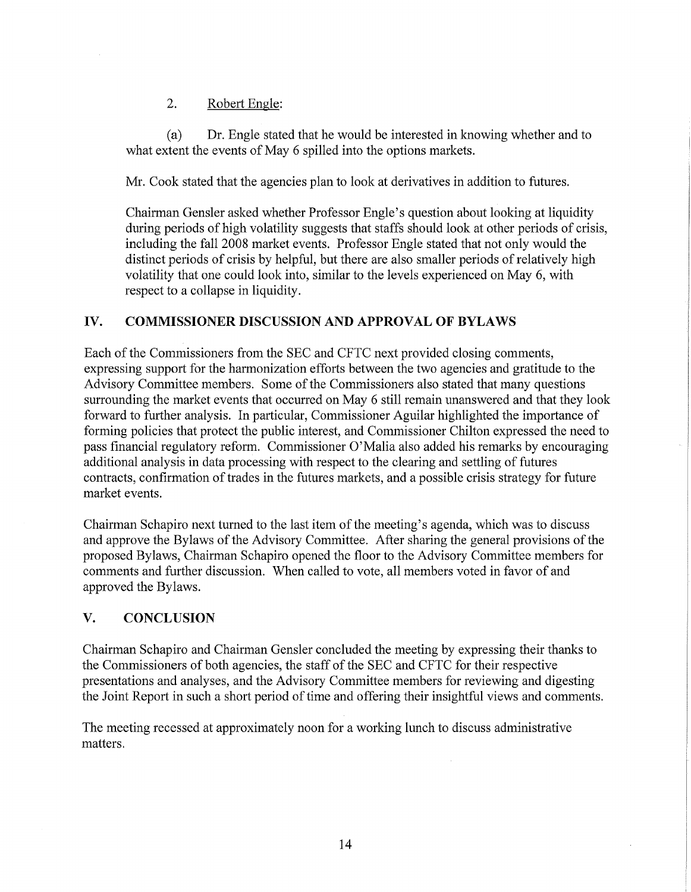2. Robert Engle:

(a) Dr. Engle stated that he would be interested in knowing whether and to what extent the events of May 6 spilled into the options markets.

Mr. Cook stated that the agencies plan to look at derivatives in addition to futures.

Chairman Gensler asked whether Professor Engle's question about looking at liquidity during periods of high volatility suggests that staffs should look at other periods of crisis, including the fall 2008 market events. Professor Engle stated that not only would the distinct periods of crisis by helpful, but there are also smaller periods of relatively high volatility that one could look into, similar to the levels experienced on May 6, with respect to a collapse in liquidity.

# **IV. COMMISSIONER DISCUSSION AND APPROVAL OF BYLAWS**

Each of the Commissioners from the SEC and CFTC next provided closing comments, expressing support for the harmonization efforts between the two agencies and gratitude to the Advisory Committee members. Some of the Commissioners also stated that many questions surrounding the market events that occurred on May 6 still remain unanswered and that they look forward to further analysis. In particular, Commissioner Aguilar highlighted the importance of forming policies that protect the public interest, and Commissioner Chilton expressed the need to pass financial regulatory reform. Commissioner 0'Malia also added his remarks by encouraging additional analysis in data processing with respect to the clearing and settling of futures contracts, confirmation of trades in the futures markets, and a possible crisis strategy for future market events.

Chairman Schapiro next turned to the last item of the meeting's agenda, which was to discuss and approve the Bylaws of the Advisory Committee. After sharing the general provisions of the proposed Bylaws, Chairman Schapiro opened the floor to the Advisory Committee members for comments and further discussion. When called to vote, all members voted in favor of and approved the Bylaws.

# **V. CONCLUSION**

Chairman Schapiro and Chairman Gensler concluded the meeting by expressing their thanks to the Commissioners of both agencies, the staff of the SEC and CFTC for their respective presentations and analyses, and the Advisory Committee members for reviewing and digesting the Joint Report in such a short period of time and offering their insightful views and comments.

The meeting recessed at approximately noon for a working lunch to discuss administrative matters.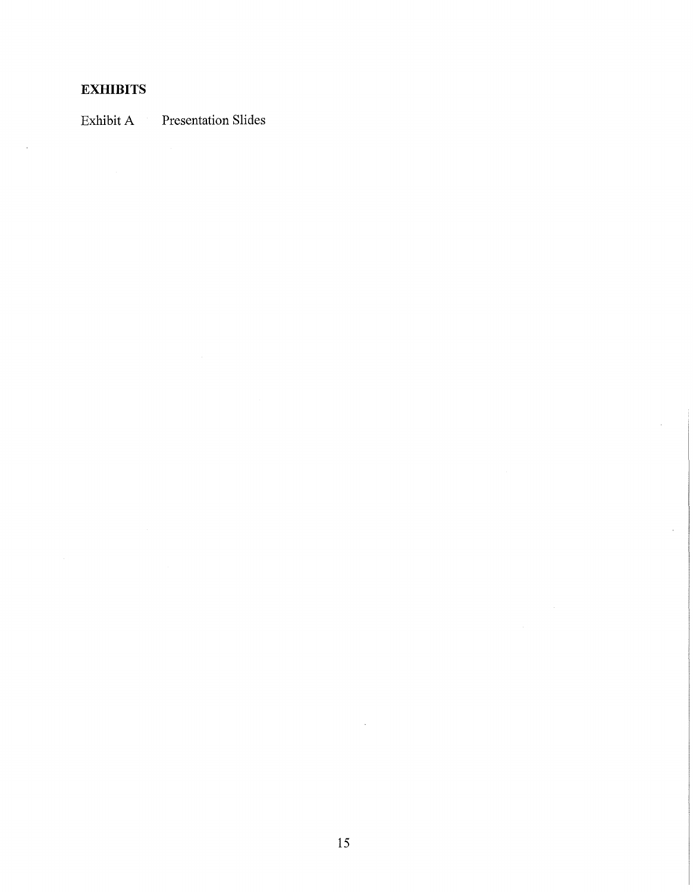# **EXHIBITS**

 $\mathcal{L}_{\mathcal{A}}$ 

Exhibit A Presentation Slides

 $\bar{u}$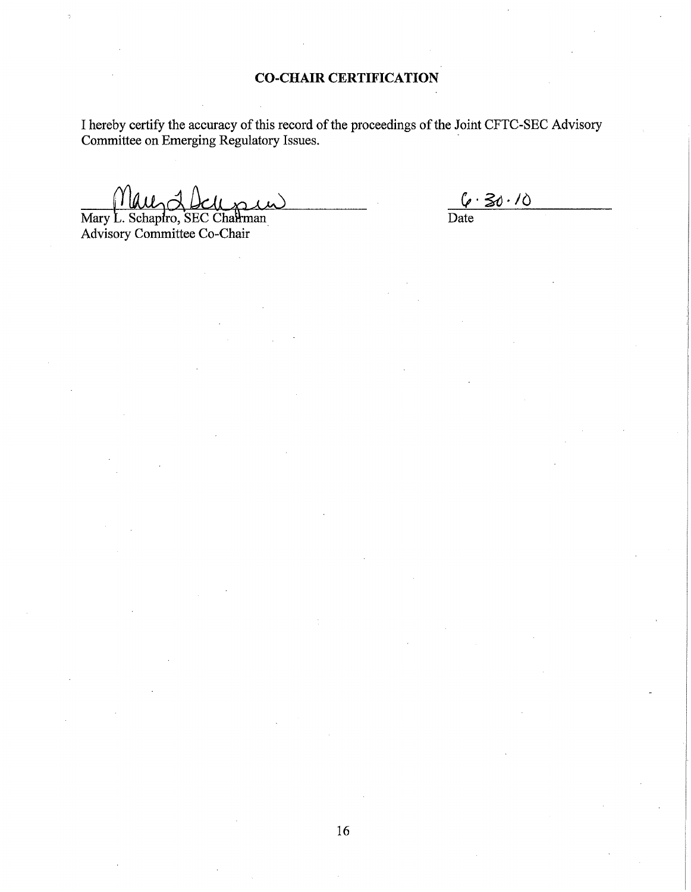I hereby certify the accuracy of this record of the proceedings of the Joint CFTC-SEC Advisory Committee on Emerging Regulatory Issues. .

Mary L. Schapiro, SEC Chairman

Advisory Committee Co-Chair

 $6.30.10$ Date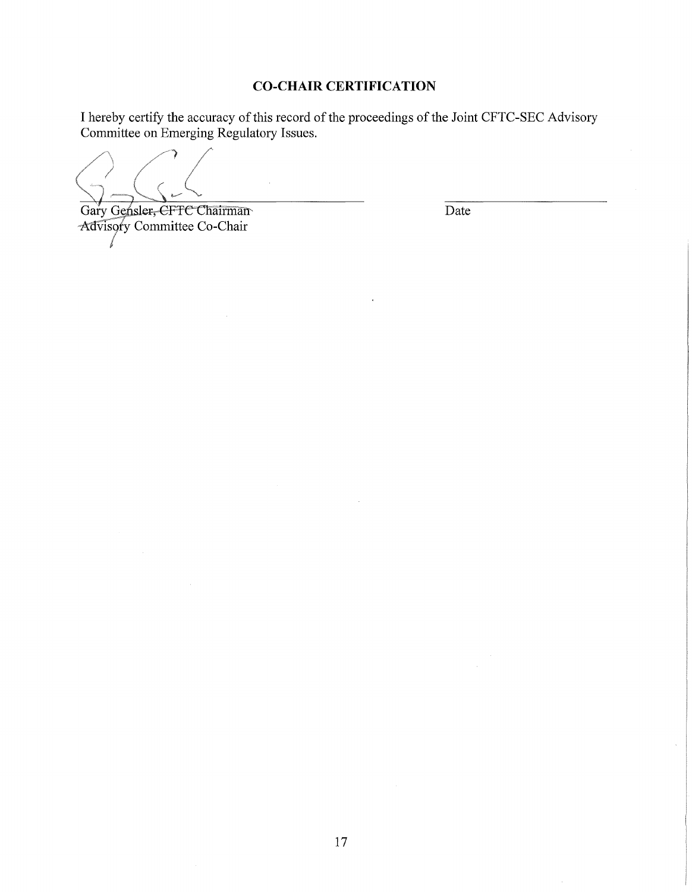# **CO-CHAIR CERTIFICATION**

I hereby certify the accuracy of this record of the proceedings of the Joint CFTC-SEC Advisory Committee on Emerging Regulatory Issues.

Gary Gensler, CFTC Chairman Date Advisory Committee Co-Chair I